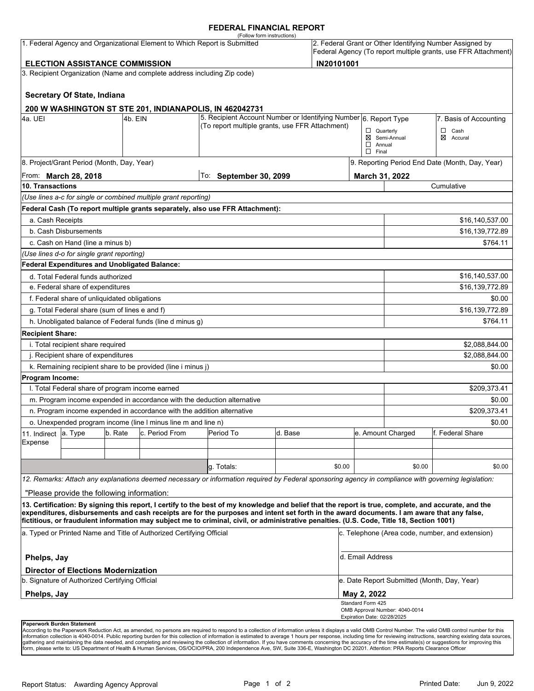#### **FEDERAL FINANCIAL REPORT**

|                                                                                                                                                                                                                   |                                                      |         | 1. Federal Agency and Organizational Element to Which Report is Submitted | (Follow form instructions)                                                                                                                                                                                                                                                                         |         |        |                                                   |                                                 | 2. Federal Grant or Other Identifying Number Assigned by<br>Federal Agency (To report multiple grants, use FFR Attachment) |  |
|-------------------------------------------------------------------------------------------------------------------------------------------------------------------------------------------------------------------|------------------------------------------------------|---------|---------------------------------------------------------------------------|----------------------------------------------------------------------------------------------------------------------------------------------------------------------------------------------------------------------------------------------------------------------------------------------------|---------|--------|---------------------------------------------------|-------------------------------------------------|----------------------------------------------------------------------------------------------------------------------------|--|
| <b>ELECTION ASSISTANCE COMMISSION</b>                                                                                                                                                                             |                                                      |         |                                                                           |                                                                                                                                                                                                                                                                                                    |         |        | IN20101001                                        |                                                 |                                                                                                                            |  |
|                                                                                                                                                                                                                   |                                                      |         | 3. Recipient Organization (Name and complete address including Zip code)  |                                                                                                                                                                                                                                                                                                    |         |        |                                                   |                                                 |                                                                                                                            |  |
|                                                                                                                                                                                                                   |                                                      |         |                                                                           |                                                                                                                                                                                                                                                                                                    |         |        |                                                   |                                                 |                                                                                                                            |  |
|                                                                                                                                                                                                                   | Secretary Of State, Indiana                          |         |                                                                           |                                                                                                                                                                                                                                                                                                    |         |        |                                                   |                                                 |                                                                                                                            |  |
|                                                                                                                                                                                                                   |                                                      |         |                                                                           | 200 W WASHINGTON ST STE 201, INDIANAPOLIS, IN 462042731<br>5. Recipient Account Number or Identifying Number 6. Report Type                                                                                                                                                                        |         |        |                                                   |                                                 |                                                                                                                            |  |
| 4a. UEI                                                                                                                                                                                                           |                                                      | 4b. EIN |                                                                           | (To report multiple grants, use FFR Attachment)                                                                                                                                                                                                                                                    |         |        |                                                   |                                                 | 7. Basis of Accounting                                                                                                     |  |
|                                                                                                                                                                                                                   |                                                      |         |                                                                           |                                                                                                                                                                                                                                                                                                    |         |        | $\Box$ Quarterly<br>$\Box$ Annual<br>$\Box$ Final | ⊠ Semi-Annual                                   | $\Box$ Cash<br>⊠<br>Accural                                                                                                |  |
|                                                                                                                                                                                                                   | 8. Project/Grant Period (Month, Day, Year)           |         |                                                                           |                                                                                                                                                                                                                                                                                                    |         |        |                                                   | 9. Reporting Period End Date (Month, Day, Year) |                                                                                                                            |  |
| From: <b>March 28, 2018</b>                                                                                                                                                                                       |                                                      |         |                                                                           | To: September 30, 2099                                                                                                                                                                                                                                                                             |         |        | March 31, 2022                                    |                                                 |                                                                                                                            |  |
| 10. Transactions                                                                                                                                                                                                  |                                                      |         |                                                                           |                                                                                                                                                                                                                                                                                                    |         |        |                                                   | Cumulative                                      |                                                                                                                            |  |
|                                                                                                                                                                                                                   |                                                      |         | (Use lines a-c for single or combined multiple grant reporting)           |                                                                                                                                                                                                                                                                                                    |         |        |                                                   |                                                 |                                                                                                                            |  |
|                                                                                                                                                                                                                   |                                                      |         |                                                                           | Federal Cash (To report multiple grants separately, also use FFR Attachment):                                                                                                                                                                                                                      |         |        |                                                   |                                                 |                                                                                                                            |  |
| a. Cash Receipts                                                                                                                                                                                                  |                                                      |         |                                                                           |                                                                                                                                                                                                                                                                                                    |         |        |                                                   |                                                 | \$16,140,537.00                                                                                                            |  |
|                                                                                                                                                                                                                   | b. Cash Disbursements                                |         |                                                                           |                                                                                                                                                                                                                                                                                                    |         |        |                                                   | \$16,139,772.89                                 |                                                                                                                            |  |
|                                                                                                                                                                                                                   | c. Cash on Hand (line a minus b)                     |         |                                                                           |                                                                                                                                                                                                                                                                                                    |         |        |                                                   |                                                 | \$764.11                                                                                                                   |  |
|                                                                                                                                                                                                                   | (Use lines d-o for single grant reporting)           |         |                                                                           |                                                                                                                                                                                                                                                                                                    |         |        |                                                   |                                                 |                                                                                                                            |  |
|                                                                                                                                                                                                                   | <b>Federal Expenditures and Unobligated Balance:</b> |         |                                                                           |                                                                                                                                                                                                                                                                                                    |         |        |                                                   |                                                 |                                                                                                                            |  |
| d. Total Federal funds authorized                                                                                                                                                                                 |                                                      |         |                                                                           |                                                                                                                                                                                                                                                                                                    |         |        |                                                   |                                                 | \$16,140,537.00                                                                                                            |  |
| e. Federal share of expenditures                                                                                                                                                                                  |                                                      |         |                                                                           |                                                                                                                                                                                                                                                                                                    |         |        |                                                   |                                                 | \$16.139.772.89                                                                                                            |  |
| f. Federal share of unliquidated obligations                                                                                                                                                                      |                                                      |         |                                                                           |                                                                                                                                                                                                                                                                                                    |         |        |                                                   | \$0.00                                          |                                                                                                                            |  |
| g. Total Federal share (sum of lines e and f)                                                                                                                                                                     |                                                      |         |                                                                           |                                                                                                                                                                                                                                                                                                    |         |        |                                                   | \$16,139,772.89                                 |                                                                                                                            |  |
|                                                                                                                                                                                                                   |                                                      |         | h. Unobligated balance of Federal funds (line d minus g)                  |                                                                                                                                                                                                                                                                                                    |         |        |                                                   |                                                 | \$764.11                                                                                                                   |  |
| <b>Recipient Share:</b>                                                                                                                                                                                           |                                                      |         |                                                                           |                                                                                                                                                                                                                                                                                                    |         |        |                                                   |                                                 |                                                                                                                            |  |
| i. Total recipient share required                                                                                                                                                                                 |                                                      |         |                                                                           |                                                                                                                                                                                                                                                                                                    |         |        |                                                   |                                                 | \$2,088,844.00                                                                                                             |  |
| j. Recipient share of expenditures                                                                                                                                                                                |                                                      |         |                                                                           |                                                                                                                                                                                                                                                                                                    |         |        |                                                   | \$2,088,844.00                                  |                                                                                                                            |  |
|                                                                                                                                                                                                                   |                                                      |         | k. Remaining recipient share to be provided (line i minus j)              |                                                                                                                                                                                                                                                                                                    |         |        |                                                   |                                                 | \$0.00                                                                                                                     |  |
| <b>Program Income:</b>                                                                                                                                                                                            |                                                      |         |                                                                           |                                                                                                                                                                                                                                                                                                    |         |        |                                                   |                                                 |                                                                                                                            |  |
| I. Total Federal share of program income earned                                                                                                                                                                   |                                                      |         |                                                                           |                                                                                                                                                                                                                                                                                                    |         |        |                                                   |                                                 | \$209,373.41                                                                                                               |  |
|                                                                                                                                                                                                                   |                                                      |         |                                                                           | m. Program income expended in accordance with the deduction alternative                                                                                                                                                                                                                            |         |        |                                                   |                                                 | \$0.00                                                                                                                     |  |
| n. Program income expended in accordance with the addition alternative                                                                                                                                            |                                                      |         |                                                                           |                                                                                                                                                                                                                                                                                                    |         |        |                                                   | \$209,373.41                                    |                                                                                                                            |  |
|                                                                                                                                                                                                                   |                                                      |         | o. Unexpended program income (line I minus line m and line n)             |                                                                                                                                                                                                                                                                                                    |         |        | \$0.00                                            |                                                 |                                                                                                                            |  |
| 11. Indirect                                                                                                                                                                                                      | a. Type                                              | b. Rate | c. Period From                                                            | Period To                                                                                                                                                                                                                                                                                          | d. Base |        |                                                   | e. Amount Charged                               | f. Federal Share                                                                                                           |  |
| Expense                                                                                                                                                                                                           |                                                      |         |                                                                           |                                                                                                                                                                                                                                                                                                    |         |        |                                                   |                                                 |                                                                                                                            |  |
|                                                                                                                                                                                                                   |                                                      |         |                                                                           |                                                                                                                                                                                                                                                                                                    |         |        |                                                   |                                                 |                                                                                                                            |  |
|                                                                                                                                                                                                                   |                                                      |         |                                                                           | g. Totals:                                                                                                                                                                                                                                                                                         |         | \$0.00 |                                                   | \$0.00                                          | \$0.00                                                                                                                     |  |
|                                                                                                                                                                                                                   |                                                      |         |                                                                           | 12. Remarks: Attach any explanations deemed necessary or information required by Federal sponsoring agency in compliance with governing legislation:                                                                                                                                               |         |        |                                                   |                                                 |                                                                                                                            |  |
|                                                                                                                                                                                                                   | "Please provide the following information:           |         |                                                                           |                                                                                                                                                                                                                                                                                                    |         |        |                                                   |                                                 |                                                                                                                            |  |
|                                                                                                                                                                                                                   |                                                      |         |                                                                           | 13. Certification: By signing this report, I certify to the best of my knowledge and belief that the report is true, complete, and accurate, and the<br>expenditures, disbursements and cash receipts are for the purposes and intent set forth in the award documents. I am aware that any false, |         |        |                                                   |                                                 |                                                                                                                            |  |
| fictitious, or fraudulent information may subject me to criminal, civil, or administrative penalties. (U.S. Code, Title 18, Section 1001)<br>a. Typed or Printed Name and Title of Authorized Certifying Official |                                                      |         |                                                                           |                                                                                                                                                                                                                                                                                                    |         |        | c. Telephone (Area code, number, and extension)   |                                                 |                                                                                                                            |  |
| Phelps, Jay                                                                                                                                                                                                       |                                                      |         |                                                                           |                                                                                                                                                                                                                                                                                                    |         |        | d. Email Address                                  |                                                 |                                                                                                                            |  |
|                                                                                                                                                                                                                   | <b>Director of Elections Modernization</b>           |         |                                                                           |                                                                                                                                                                                                                                                                                                    |         |        |                                                   |                                                 |                                                                                                                            |  |
| b. Signature of Authorized Certifying Official                                                                                                                                                                    |                                                      |         |                                                                           |                                                                                                                                                                                                                                                                                                    |         |        | e. Date Report Submitted (Month, Day, Year)       |                                                 |                                                                                                                            |  |
| Phelps, Jay                                                                                                                                                                                                       |                                                      |         |                                                                           |                                                                                                                                                                                                                                                                                                    |         |        | May 2, 2022                                       |                                                 |                                                                                                                            |  |
|                                                                                                                                                                                                                   |                                                      |         |                                                                           |                                                                                                                                                                                                                                                                                                    |         |        | Standard Form 425<br>Expiration Date: 02/28/2025  | OMB Approval Number: 4040-0014                  |                                                                                                                            |  |
| Paperwork Burden Statement                                                                                                                                                                                        |                                                      |         |                                                                           |                                                                                                                                                                                                                                                                                                    |         |        |                                                   |                                                 |                                                                                                                            |  |

According to the Paperwork Reduction Act, as amended, no persons are required to respond to a collection of information unless it displays a valid OMB Control Number. The valid OMB control number for this<br>information colle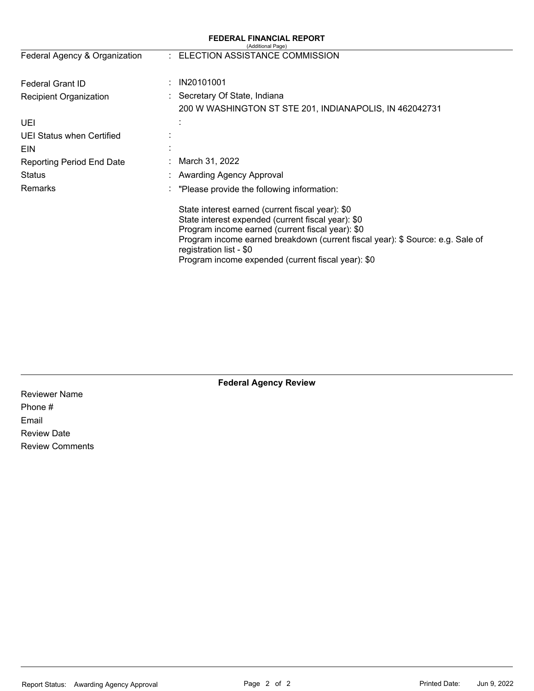|                                  | <b>FEDERAL FINANCIAL REPORT</b><br>(Additional Page)                                                                                                                                                                                                                                                                          |
|----------------------------------|-------------------------------------------------------------------------------------------------------------------------------------------------------------------------------------------------------------------------------------------------------------------------------------------------------------------------------|
| Federal Agency & Organization    | : ELECTION ASSISTANCE COMMISSION                                                                                                                                                                                                                                                                                              |
| Federal Grant ID                 | IN20101001                                                                                                                                                                                                                                                                                                                    |
| Recipient Organization           | Secretary Of State, Indiana                                                                                                                                                                                                                                                                                                   |
|                                  | 200 W WASHINGTON ST STE 201, INDIANAPOLIS, IN 462042731                                                                                                                                                                                                                                                                       |
| UEI                              |                                                                                                                                                                                                                                                                                                                               |
| UEI Status when Certified        |                                                                                                                                                                                                                                                                                                                               |
| EIN                              |                                                                                                                                                                                                                                                                                                                               |
| <b>Reporting Period End Date</b> | March 31, 2022                                                                                                                                                                                                                                                                                                                |
| Status                           | Awarding Agency Approval                                                                                                                                                                                                                                                                                                      |
| Remarks                          | "Please provide the following information:                                                                                                                                                                                                                                                                                    |
|                                  | State interest earned (current fiscal year): \$0<br>State interest expended (current fiscal year): \$0<br>Program income earned (current fiscal year): \$0<br>Program income earned breakdown (current fiscal year): \$ Source: e.g. Sale of<br>registration list - \$0<br>Program income expended (current fiscal year): \$0 |

**Federal Agency Review** 

Reviewer Name Phone # Email Review Date Review Comments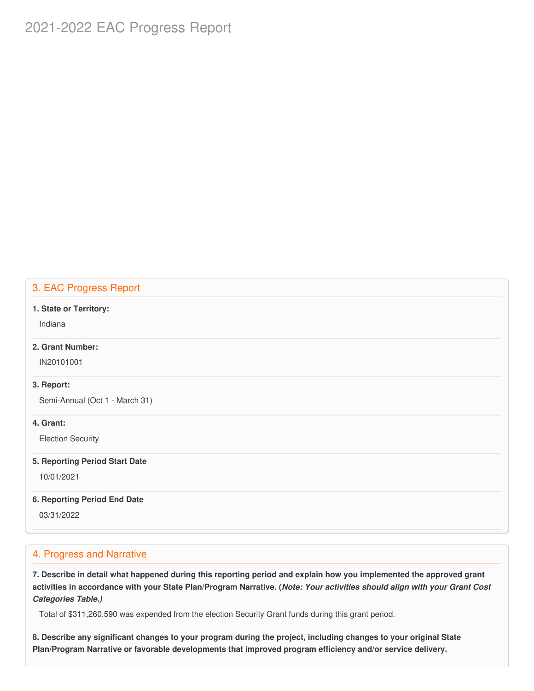# 2021-2022 EAC Progress Report

# 3. EAC Progress Report

#### **1. State or Territory:**

Indiana

## **2. Grant Number:**

IN20101001

#### **3. Report:**

Semi-Annual (Oct 1 - March 31)

#### **4. Grant:**

Election Security

#### **5. Reporting Period Start Date**

10/01/2021

#### **6. Reporting Period End Date**

03/31/2022

# 4. Progress and Narrative

7. Describe in detail what happened during this reporting period and explain how you implemented the approved grant activities in accordance with your State Plan/Program Narrative. (*Note: Your activities should align with your Grant Cost Categories Table.)*

Total of \$311,260.590 was expended from the election Security Grant funds during this grant period.

8. Describe any significant changes to your program during the project, including changes to your original State  **Plan/Program Narrative or favorable developments that improved program efficiency and/or service delivery.**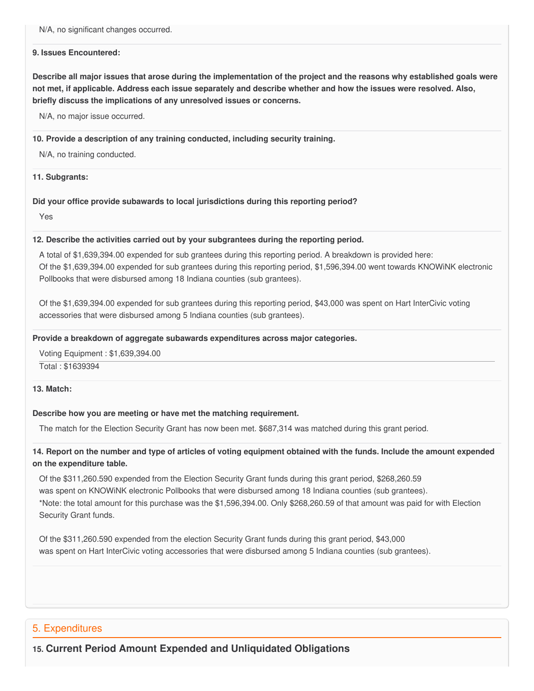N/A, no significant changes occurred.

#### **9. Issues Encountered:**

Describe all major issues that arose during the implementation of the project and the reasons why established goals were not met, if applicable. Address each issue separately and describe whether and how the issues were resolved. Also,  **briefly discuss the implications of any unresolved issues or concerns.**

N/A, no major issue occurred.

#### **10. Provide a description of any training conducted, including security training.**

N/A, no training conducted.

#### **11. Subgrants:**

#### **Did your office provide subawards to local jurisdictions during this reporting period?**

Yes

#### **12. Describe the activities carried out by your subgrantees during the reporting period.**

 A total of \$1,639,394.00 expended for sub grantees during this reporting period. A breakdown is provided here: Of the \$1,639,394.00 expended for sub grantees during this reporting period, \$1,596,394.00 went towards KNOWiNK electronic Pollbooks that were disbursed among 18 Indiana counties (sub grantees).

 Of the \$1,639,394.00 expended for sub grantees during this reporting period, \$43,000 was spent on Hart InterCivic voting accessories that were disbursed among 5 Indiana counties (sub grantees).

#### **Provide a breakdown of aggregate subawards expenditures across major categories.**

Voting Equipment : \$1,639,394.00

Total : \$1639394

#### **13. Match:**

#### **Describe how you are meeting or have met the matching requirement.**

The match for the Election Security Grant has now been met. \$687,314 was matched during this grant period.

## 14. Report on the number and type of articles of voting equipment obtained with the funds. Include the amount expended  **on the expenditure table.**

 Of the \$311,260.590 expended from the Election Security Grant funds during this grant period, \$268,260.59 was spent on KNOWiNK electronic Pollbooks that were disbursed among 18 Indiana counties (sub grantees). \*Note: the total amount for this purchase was the \$1,596,394.00. Only \$268,260.59 of that amount was paid for with Election Security Grant funds.

 Of the \$311,260.590 expended from the election Security Grant funds during this grant period, \$43,000 was spent on Hart InterCivic voting accessories that were disbursed among 5 Indiana counties (sub grantees).

### 5. Expenditures

**5. Expenditures**<br>15. Current Period Amount Expended and Unliquidated Obligations **15. Current Period Amount Expended and Unliquidated Obligations**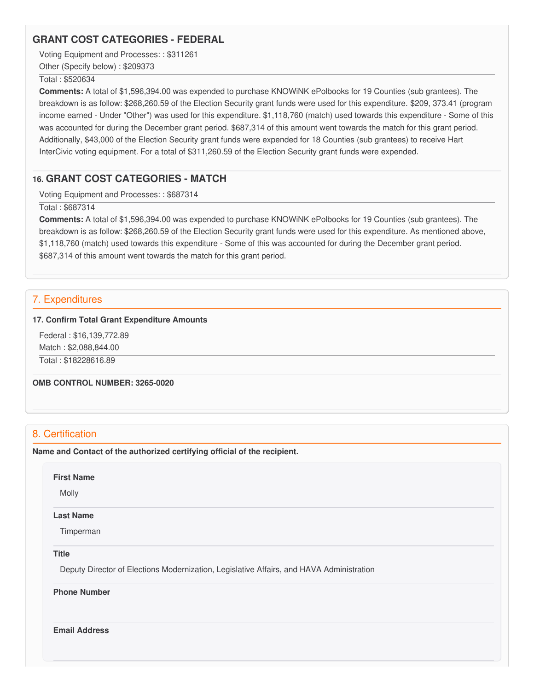# **GRANT COST CATEGORIES - FEDERAL**

Voting Equipment and Processes: : \$311261

Other (Specify below) : \$209373

#### Total : \$520634

 **Comments:** A total of \$[1,596,394.00](https://1,596,394.00) was expended to purchase KNOWiNK ePolbooks for 19 Counties (sub grantees). The breakdown is as follow: \$[268,260.59](https://268,260.59) of the Election Security grant funds were used for this expenditure. \$209, 373.41 (program income earned - Under "Other") was used for this expenditure. \$1,118,760 (match) used towards this expenditure - Some of this was accounted for during the December grant period. \$687,314 of this amount went towards the match for this grant period. Additionally, \$43,000 of the Election Security grant funds were expended for 18 Counties (sub grantees) to receive Hart InterCivic voting equipment. For a total of [\\$311,260.59](https://311,260.59) of the Election Security grant funds were expended.

# **16. GRANT COST CATEGORIES - MATCH**

Voting Equipment and Processes: : \$687314

Total : \$687314

 **Comments:** A total of \$[1,596,394.00](https://1,596,394.00) was expended to purchase KNOWiNK ePolbooks for 19 Counties (sub grantees). The breakdown is as follow: \$[268,260.59](https://268,260.59) of the Election Security grant funds were used for this expenditure. As mentioned above, \$1,118,760 (match) used towards this expenditure - Some of this was accounted for during the December grant period. \$687,314 of this amount went towards the match for this grant period.

# 7. Expenditures

#### **17. Confirm Total Grant Expenditure Amounts**

 Federal : \$[16,139,772.89](https://16,139,772.89) Match : \$[2,088,844.00](https://2,088,844.00)

Total : [\\$18228616.89](https://18228616.89)

 **OMB CONTROL NUMBER: 3265-0020**

# 8. Certification

 **Name and Contact of the authorized certifying official of the recipient.**

**First Name**

Molly

#### **Last Name**

Timperman

#### **Title**

Deputy Director of Elections Modernization, Legislative Affairs, and HAVA Administration

#### **Phone Number**

**Email Address**